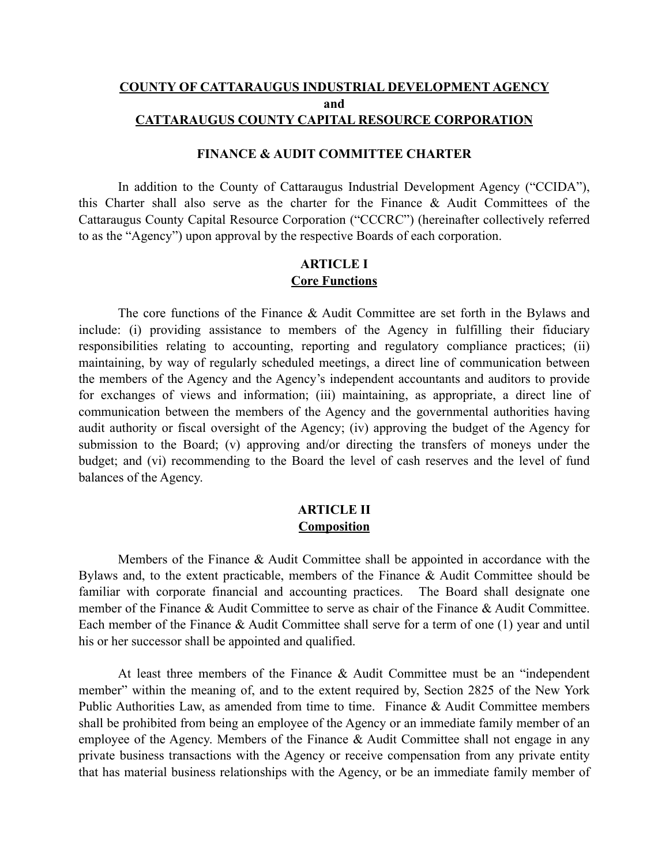#### **COUNTY OF CATTARAUGUS INDUSTRIAL DEVELOPMENT AGENCY and CATTARAUGUS COUNTY CAPITAL RESOURCE CORPORATION**

#### **FINANCE & AUDIT COMMITTEE CHARTER**

In addition to the County of Cattaraugus Industrial Development Agency ("CCIDA"), this Charter shall also serve as the charter for the Finance & Audit Committees of the Cattaraugus County Capital Resource Corporation ("CCCRC") (hereinafter collectively referred to as the "Agency") upon approval by the respective Boards of each corporation.

## **ARTICLE I Core Functions**

The core functions of the Finance & Audit Committee are set forth in the Bylaws and include: (i) providing assistance to members of the Agency in fulfilling their fiduciary responsibilities relating to accounting, reporting and regulatory compliance practices; (ii) maintaining, by way of regularly scheduled meetings, a direct line of communication between the members of the Agency and the Agency's independent accountants and auditors to provide for exchanges of views and information; (iii) maintaining, as appropriate, a direct line of communication between the members of the Agency and the governmental authorities having audit authority or fiscal oversight of the Agency; (iv) approving the budget of the Agency for submission to the Board; (v) approving and/or directing the transfers of moneys under the budget; and (vi) recommending to the Board the level of cash reserves and the level of fund balances of the Agency.

#### **ARTICLE II Composition**

Members of the Finance & Audit Committee shall be appointed in accordance with the Bylaws and, to the extent practicable, members of the Finance & Audit Committee should be familiar with corporate financial and accounting practices. The Board shall designate one member of the Finance & Audit Committee to serve as chair of the Finance & Audit Committee. Each member of the Finance & Audit Committee shall serve for a term of one (1) year and until his or her successor shall be appointed and qualified.

At least three members of the Finance & Audit Committee must be an "independent member" within the meaning of, and to the extent required by, Section 2825 of the New York Public Authorities Law, as amended from time to time. Finance & Audit Committee members shall be prohibited from being an employee of the Agency or an immediate family member of an employee of the Agency. Members of the Finance & Audit Committee shall not engage in any private business transactions with the Agency or receive compensation from any private entity that has material business relationships with the Agency, or be an immediate family member of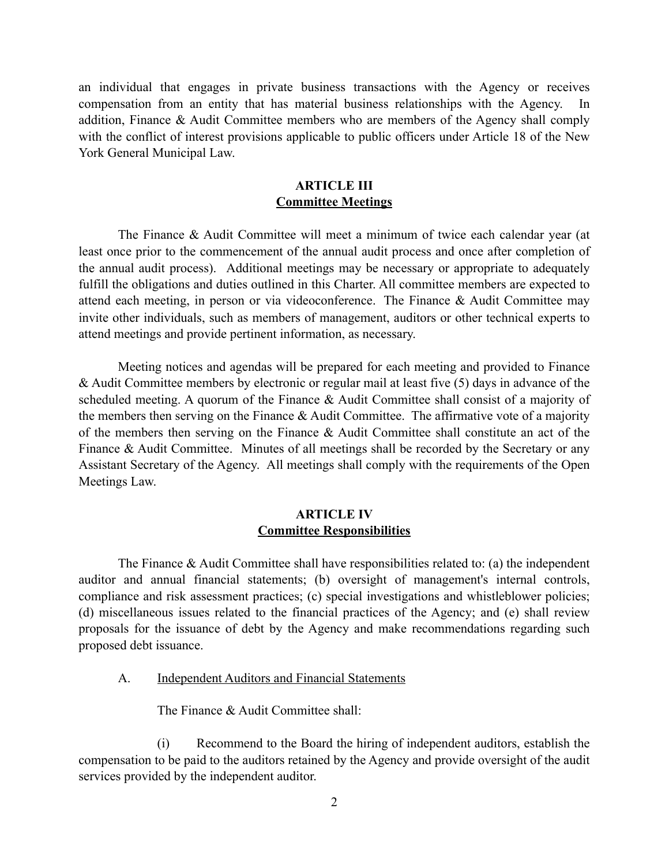an individual that engages in private business transactions with the Agency or receives compensation from an entity that has material business relationships with the Agency. In addition, Finance & Audit Committee members who are members of the Agency shall comply with the conflict of interest provisions applicable to public officers under Article 18 of the New York General Municipal Law.

#### **ARTICLE III Committee Meetings**

The Finance & Audit Committee will meet a minimum of twice each calendar year (at least once prior to the commencement of the annual audit process and once after completion of the annual audit process). Additional meetings may be necessary or appropriate to adequately fulfill the obligations and duties outlined in this Charter. All committee members are expected to attend each meeting, in person or via videoconference. The Finance & Audit Committee may invite other individuals, such as members of management, auditors or other technical experts to attend meetings and provide pertinent information, as necessary.

Meeting notices and agendas will be prepared for each meeting and provided to Finance & Audit Committee members by electronic or regular mail at least five (5) days in advance of the scheduled meeting. A quorum of the Finance & Audit Committee shall consist of a majority of the members then serving on the Finance & Audit Committee. The affirmative vote of a majority of the members then serving on the Finance & Audit Committee shall constitute an act of the Finance & Audit Committee. Minutes of all meetings shall be recorded by the Secretary or any Assistant Secretary of the Agency. All meetings shall comply with the requirements of the Open Meetings Law.

#### **ARTICLE IV Committee Responsibilities**

The Finance  $\&$  Audit Committee shall have responsibilities related to: (a) the independent auditor and annual financial statements; (b) oversight of management's internal controls, compliance and risk assessment practices; (c) special investigations and whistleblower policies; (d) miscellaneous issues related to the financial practices of the Agency; and (e) shall review proposals for the issuance of debt by the Agency and make recommendations regarding such proposed debt issuance.

A. Independent Auditors and Financial Statements

The Finance & Audit Committee shall:

(i) Recommend to the Board the hiring of independent auditors, establish the compensation to be paid to the auditors retained by the Agency and provide oversight of the audit services provided by the independent auditor.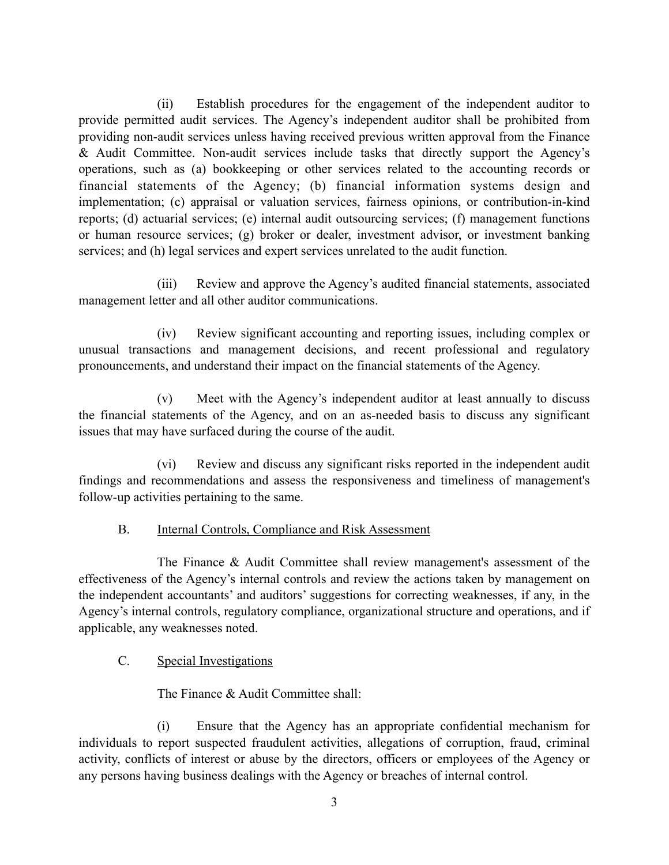(ii) Establish procedures for the engagement of the independent auditor to provide permitted audit services. The Agency's independent auditor shall be prohibited from providing non-audit services unless having received previous written approval from the Finance & Audit Committee. Non-audit services include tasks that directly support the Agency's operations, such as (a) bookkeeping or other services related to the accounting records or financial statements of the Agency; (b) financial information systems design and implementation; (c) appraisal or valuation services, fairness opinions, or contribution-in-kind reports; (d) actuarial services; (e) internal audit outsourcing services; (f) management functions or human resource services; (g) broker or dealer, investment advisor, or investment banking services; and (h) legal services and expert services unrelated to the audit function.

(iii) Review and approve the Agency's audited financial statements, associated management letter and all other auditor communications.

(iv) Review significant accounting and reporting issues, including complex or unusual transactions and management decisions, and recent professional and regulatory pronouncements, and understand their impact on the financial statements of the Agency.

(v) Meet with the Agency's independent auditor at least annually to discuss the financial statements of the Agency, and on an as-needed basis to discuss any significant issues that may have surfaced during the course of the audit.

(vi) Review and discuss any significant risks reported in the independent audit findings and recommendations and assess the responsiveness and timeliness of management's follow-up activities pertaining to the same.

## B. Internal Controls, Compliance and Risk Assessment

The Finance & Audit Committee shall review management's assessment of the effectiveness of the Agency's internal controls and review the actions taken by management on the independent accountants' and auditors' suggestions for correcting weaknesses, if any, in the Agency's internal controls, regulatory compliance, organizational structure and operations, and if applicable, any weaknesses noted.

# C. Special Investigations

The Finance & Audit Committee shall:

(i) Ensure that the Agency has an appropriate confidential mechanism for individuals to report suspected fraudulent activities, allegations of corruption, fraud, criminal activity, conflicts of interest or abuse by the directors, officers or employees of the Agency or any persons having business dealings with the Agency or breaches of internal control.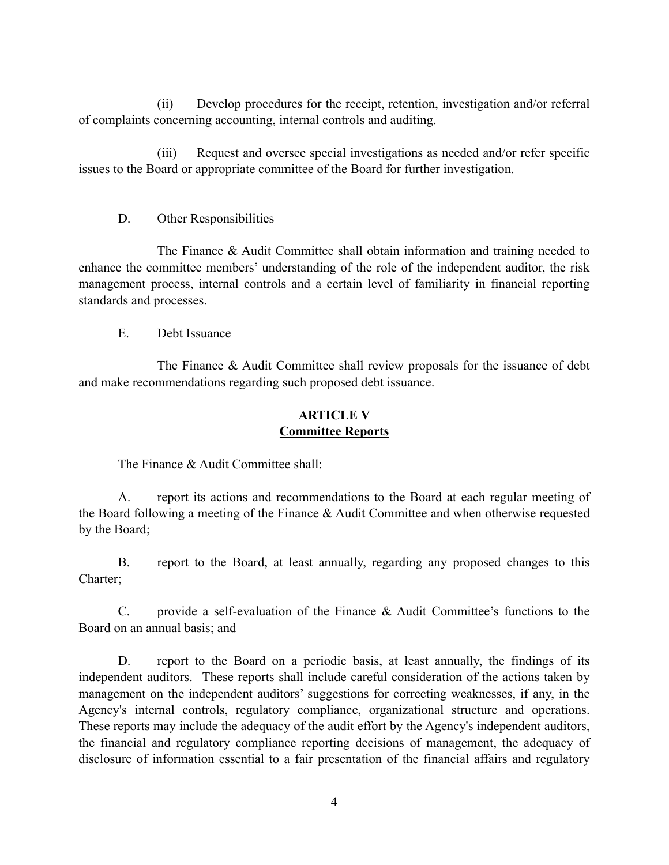(ii) Develop procedures for the receipt, retention, investigation and/or referral of complaints concerning accounting, internal controls and auditing.

(iii) Request and oversee special investigations as needed and/or refer specific issues to the Board or appropriate committee of the Board for further investigation.

## D. Other Responsibilities

The Finance & Audit Committee shall obtain information and training needed to enhance the committee members' understanding of the role of the independent auditor, the risk management process, internal controls and a certain level of familiarity in financial reporting standards and processes.

## E. Debt Issuance

The Finance & Audit Committee shall review proposals for the issuance of debt and make recommendations regarding such proposed debt issuance.

# **ARTICLE V Committee Reports**

The Finance & Audit Committee shall:

A. report its actions and recommendations to the Board at each regular meeting of the Board following a meeting of the Finance & Audit Committee and when otherwise requested by the Board;

B. report to the Board, at least annually, regarding any proposed changes to this Charter;

C. provide a self-evaluation of the Finance & Audit Committee's functions to the Board on an annual basis; and

D. report to the Board on a periodic basis, at least annually, the findings of its independent auditors. These reports shall include careful consideration of the actions taken by management on the independent auditors' suggestions for correcting weaknesses, if any, in the Agency's internal controls, regulatory compliance, organizational structure and operations. These reports may include the adequacy of the audit effort by the Agency's independent auditors, the financial and regulatory compliance reporting decisions of management, the adequacy of disclosure of information essential to a fair presentation of the financial affairs and regulatory